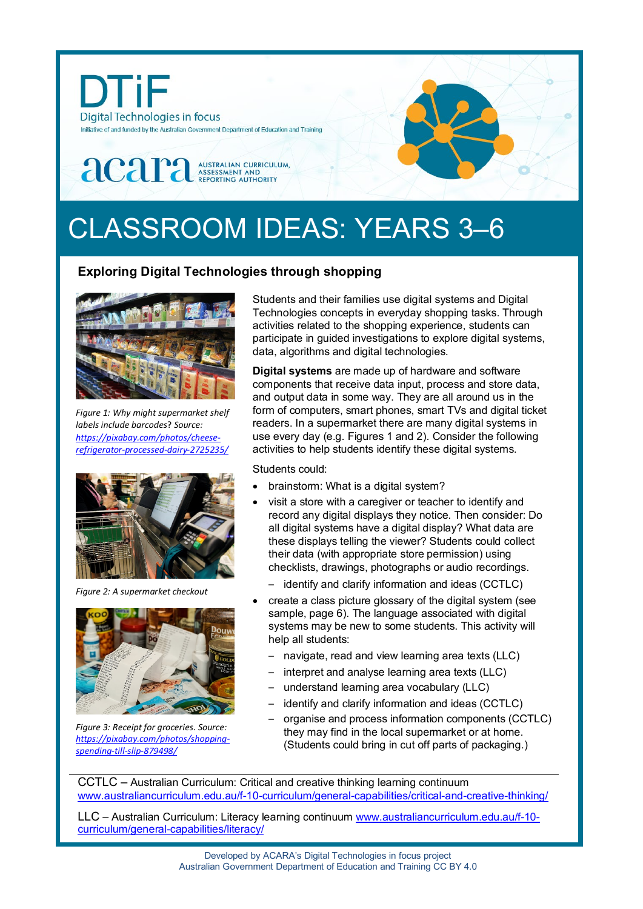

# CLASSROOM IDEAS: YEARS 3–6

## **Exploring Digital Technologies through shopping**



*Figure 1: Why might supermarket shelf labels include barcodes*? *Source: [https://pixabay.com/photos/cheese](https://pixabay.com/photos/cheese-refrigerator-processed-dairy-2725235/)[refrigerator-processed-dairy-2725235/](https://pixabay.com/photos/cheese-refrigerator-processed-dairy-2725235/)*



*Figure 2: A supermarket checkout*



*Figure 3: Receipt for groceries. Source: [https://pixabay.com/photos/shopping](https://pixabay.com/photos/shopping-spending-till-slip-879498/)[spending-till-slip-879498/](https://pixabay.com/photos/shopping-spending-till-slip-879498/)*

Students and their families use digital systems and Digital Technologies concepts in everyday shopping tasks. Through activities related to the shopping experience, students can participate in guided investigations to explore digital systems, data, algorithms and digital technologies.

**Digital systems** are made up of hardware and software components that receive data input, process and store data, and output data in some way. They are all around us in the form of computers, smart phones, smart TVs and digital ticket readers. In a supermarket there are many digital systems in use every day (e.g. Figures 1 and 2). Consider the following activities to help students identify these digital systems.

Students could:

- brainstorm: What is a digital system?
- visit a store with a caregiver or teacher to identify and record any digital displays they notice. Then consider: Do all digital systems have a digital display? What data are these displays telling the viewer? Students could collect their data (with appropriate store permission) using checklists, drawings, photographs or audio recordings.
	- identify and clarify information and ideas (CCTLC)
- create a class picture glossary of the digital system (see sample, page 6). The language associated with digital systems may be new to some students. This activity will help all students:
	- navigate, read and view learning area texts (LLC)
	- interpret and analyse learning area texts (LLC)
	- understand learning area vocabulary (LLC)
	- identify and clarify information and ideas (CCTLC)
	- organise and process information components (CCTLC) they may find in the local supermarket or at home. (Students could bring in cut off parts of packaging.)

CCTLC – Australian Curriculum: Critical and creative thinking learning continuum [www.australiancurriculum.edu.au/f-10-curriculum/general-capabilities/critical-and-creative-thinking/](http://www.australiancurriculum.edu.au/f-10-curriculum/general-capabilities/critical-and-creative-thinking/)

LLC – Australian Curriculum: Literacy learning continuum [www.australiancurriculum.edu.au/f-10](http://www.australiancurriculum.edu.au/f-10-curriculum/general-capabilities/literacy/) [curriculum/general-capabilities/literacy/](http://www.australiancurriculum.edu.au/f-10-curriculum/general-capabilities/literacy/)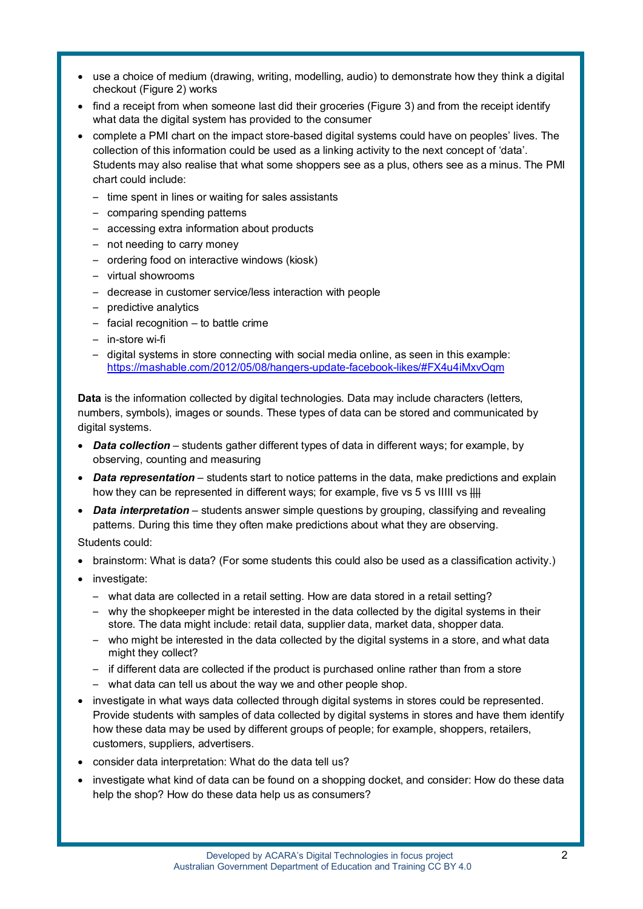- use a choice of medium (drawing, writing, modelling, audio) to demonstrate how they think a digital checkout (Figure 2) works
- find a receipt from when someone last did their groceries (Figure 3) and from the receipt identify what data the digital system has provided to the consumer
- complete a PMI chart on the impact store-based digital systems could have on peoples' lives. The collection of this information could be used as a linking activity to the next concept of 'data'. Students may also realise that what some shoppers see as a plus, others see as a minus. The PMI chart could include:
	- time spent in lines or waiting for sales assistants
	- comparing spending patterns
	- accessing extra information about products
	- not needing to carry money
	- ordering food on interactive windows (kiosk)
	- virtual showrooms
	- decrease in customer service/less interaction with people
	- predictive analytics
	- facial recognition to battle crime
	- in-store wi-fi
	- digital systems in store connecting with social media online, as seen in this example: <https://mashable.com/2012/05/08/hangers-update-facebook-likes/#FX4u4iMxvOqm>

**Data** is the information collected by digital technologies. Data may include characters (letters, numbers, symbols), images or sounds. These types of data can be stored and communicated by digital systems.

- **Data collection** students gather different types of data in different ways; for example, by observing, counting and measuring
- *Data representation* students start to notice patterns in the data, make predictions and explain how they can be represented in different ways; for example, five vs 5 vs IIIII vs  $\parallel\parallel\parallel$
- *Data interpretation* students answer simple questions by grouping, classifying and revealing patterns. During this time they often make predictions about what they are observing.

Students could:

- brainstorm: What is data? (For some students this could also be used as a classification activity.)
- investigate:
	- what data are collected in a retail setting. How are data stored in a retail setting?
	- why the shopkeeper might be interested in the data collected by the digital systems in their store. The data might include: retail data, supplier data, market data, shopper data.
	- who might be interested in the data collected by the digital systems in a store, and what data might they collect?
	- if different data are collected if the product is purchased online rather than from a store
	- what data can tell us about the way we and other people shop.
- investigate in what ways data collected through digital systems in stores could be represented. Provide students with samples of data collected by digital systems in stores and have them identify how these data may be used by different groups of people; for example, shoppers, retailers, customers, suppliers, advertisers.
- consider data interpretation: What do the data tell us?
- investigate what kind of data can be found on a shopping docket, and consider: How do these data help the shop? How do these data help us as consumers?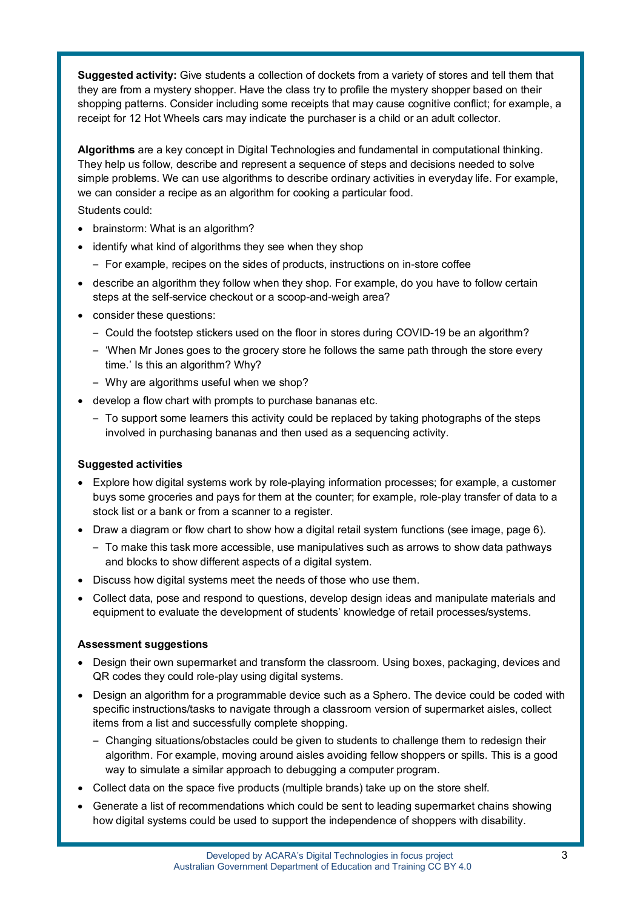**Suggested activity:** Give students a collection of dockets from a variety of stores and tell them that they are from a mystery shopper. Have the class try to profile the mystery shopper based on their shopping patterns. Consider including some receipts that may cause cognitive conflict; for example, a receipt for 12 Hot Wheels cars may indicate the purchaser is a child or an adult collector.

**Algorithms** are a key concept in Digital Technologies and fundamental in computational thinking. They help us follow, describe and represent a sequence of steps and decisions needed to solve simple problems. We can use algorithms to describe ordinary activities in everyday life. For example, we can consider a recipe as an algorithm for cooking a particular food.

Students could:

- brainstorm: What is an algorithm?
- identify what kind of algorithms they see when they shop
	- For example, recipes on the sides of products, instructions on in-store coffee
- describe an algorithm they follow when they shop. For example, do you have to follow certain steps at the self-service checkout or a scoop-and-weigh area?
- consider these questions:
	- Could the footstep stickers used on the floor in stores during COVID-19 be an algorithm?
	- 'When Mr Jones goes to the grocery store he follows the same path through the store every time.' Is this an algorithm? Why?
	- Why are algorithms useful when we shop?
- develop a flow chart with prompts to purchase bananas etc.
	- To support some learners this activity could be replaced by taking photographs of the steps involved in purchasing bananas and then used as a sequencing activity.

### **Suggested activities**

- Explore how digital systems work by role-playing information processes; for example, a customer buys some groceries and pays for them at the counter; for example, role-play transfer of data to a stock list or a bank or from a scanner to a register.
- Draw a diagram or flow chart to show how a digital retail system functions (see image, page 6).
	- To make this task more accessible, use manipulatives such as arrows to show data pathways and blocks to show different aspects of a digital system.
- Discuss how digital systems meet the needs of those who use them.
- Collect data, pose and respond to questions, develop design ideas and manipulate materials and equipment to evaluate the development of students' knowledge of retail processes/systems.

### **Assessment suggestions**

- Design their own supermarket and transform the classroom. Using boxes, packaging, devices and QR codes they could role-play using digital systems.
- Design an algorithm for a programmable device such as a Sphero. The device could be coded with specific instructions/tasks to navigate through a classroom version of supermarket aisles, collect items from a list and successfully complete shopping.
	- Changing situations/obstacles could be given to students to challenge them to redesign their algorithm. For example, moving around aisles avoiding fellow shoppers or spills. This is a good way to simulate a similar approach to debugging a computer program.
- Collect data on the space five products (multiple brands) take up on the store shelf.
- Generate a list of recommendations which could be sent to leading supermarket chains showing how digital systems could be used to support the independence of shoppers with disability.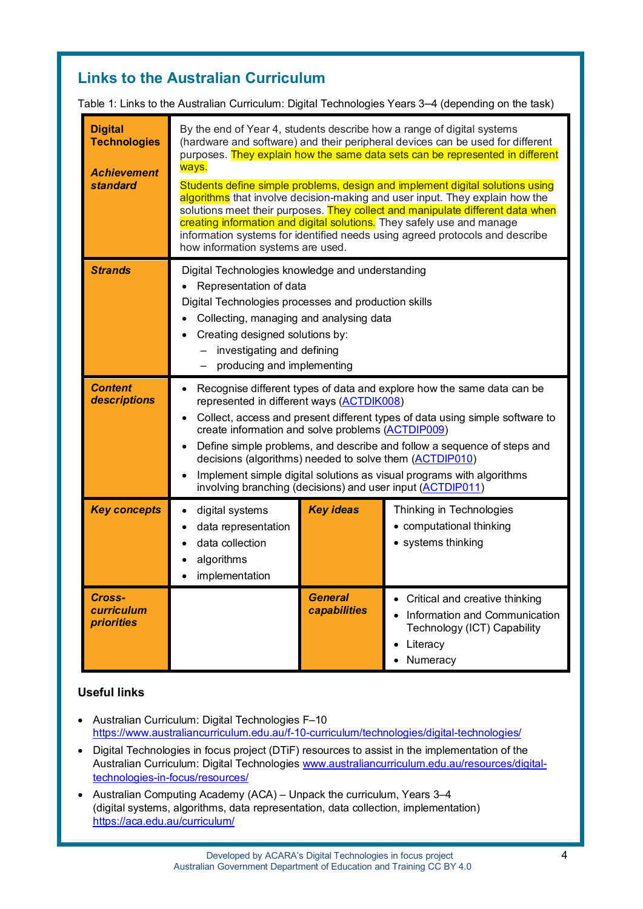# **Links to the Australian Curriculum**

Table 1: Links to the Australian Curriculum: Digital Technologies Years 3–4 (depending on the task)

| <b>Digital</b><br><b>Technologies</b><br><b>Achievement</b><br>standard | By the end of Year 4, students describe how a range of digital systems<br>(hardware and software) and their peripheral devices can be used for different<br>purposes. They explain how the same data sets can be represented in different<br>ways.<br>Students define simple problems, design and implement digital solutions using<br>algorithms that involve decision-making and user input. They explain how the<br>solutions meet their purposes. They collect and manipulate different data when<br>creating information and digital solutions. They safely use and manage<br>information systems for identified needs using agreed protocols and describe<br>how information systems are used. |                                |                                                                                                                        |  |
|-------------------------------------------------------------------------|------------------------------------------------------------------------------------------------------------------------------------------------------------------------------------------------------------------------------------------------------------------------------------------------------------------------------------------------------------------------------------------------------------------------------------------------------------------------------------------------------------------------------------------------------------------------------------------------------------------------------------------------------------------------------------------------------|--------------------------------|------------------------------------------------------------------------------------------------------------------------|--|
| <b>Strands</b>                                                          | Digital Technologies knowledge and understanding<br>Representation of data<br>Digital Technologies processes and production skills<br>Collecting, managing and analysing data<br>Creating designed solutions by:<br>investigating and defining<br>producing and implementing                                                                                                                                                                                                                                                                                                                                                                                                                         |                                |                                                                                                                        |  |
| <b>Content</b><br>descriptions                                          | Recognise different types of data and explore how the same data can be<br>represented in different ways (ACTDIK008)<br>Collect, access and present different types of data using simple software to<br>create information and solve problems (ACTDIP009)<br>Define simple problems, and describe and follow a sequence of steps and<br>decisions (algorithms) needed to solve them (ACTDIP010)<br>Implement simple digital solutions as visual programs with algorithms<br>involving branching (decisions) and user input (ACTDIP011)                                                                                                                                                                |                                |                                                                                                                        |  |
| <b>Key concepts</b>                                                     | digital systems<br>data representation<br>data collection<br>algorithms<br>implementation                                                                                                                                                                                                                                                                                                                                                                                                                                                                                                                                                                                                            | <b>Key ideas</b>               | Thinking in Technologies<br>• computational thinking<br>• systems thinking                                             |  |
| Cross-<br><b>curriculum</b><br><b>priorities</b>                        |                                                                                                                                                                                                                                                                                                                                                                                                                                                                                                                                                                                                                                                                                                      | <b>General</b><br>capabilities | Critical and creative thinking<br>Information and Communication<br>Technology (ICT) Capability<br>Literacy<br>Numeracy |  |

## **Useful links**

- Australian Curriculum: Digital Technologies F–10 <https://www.australiancurriculum.edu.au/f-10-curriculum/technologies/digital-technologies/>
- Digital Technologies in focus project (DTiF) resources to assist in the implementation of the Australian Curriculum: Digital Technologies [www.australiancurriculum.edu.au/resources/digital](http://www.australiancurriculum.edu.au/resources/digital-technologies-in-focus/resources/)[technologies-in-focus/resources/](http://www.australiancurriculum.edu.au/resources/digital-technologies-in-focus/resources/)
- Australian Computing Academy (ACA) Unpack the curriculum, Years 3–4 (digital systems, algorithms, data representation, data collection, implementation) <https://aca.edu.au/curriculum/>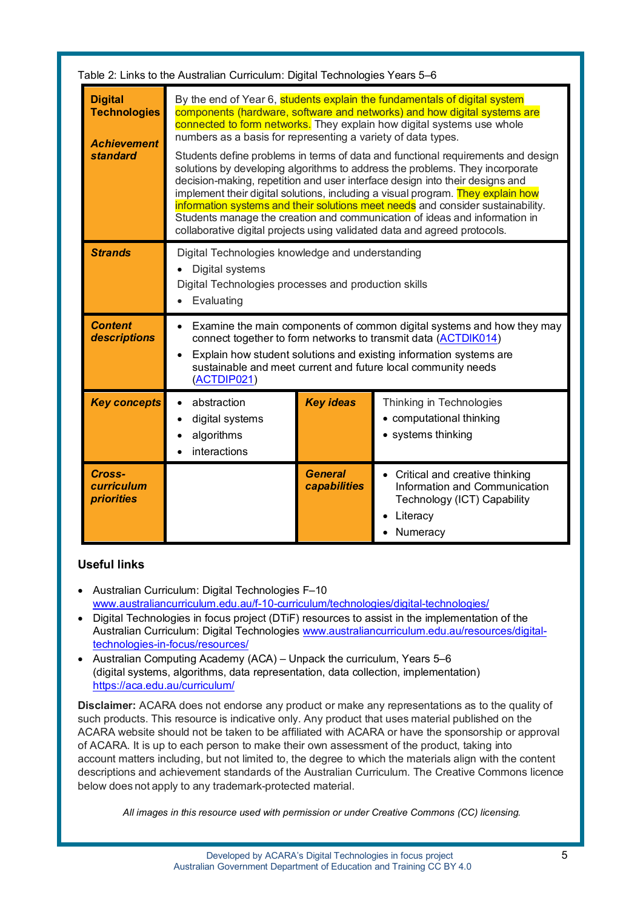| Table 2: Links to the Australian Curriculum: Digital Technologies Years 5–6    |                                                                                                                                                                                                                                                                                                                                                                                                                                                                                                                                                                                                                                                                                                                                                                                                                                                                                      |                                |                                                                                                                          |  |
|--------------------------------------------------------------------------------|--------------------------------------------------------------------------------------------------------------------------------------------------------------------------------------------------------------------------------------------------------------------------------------------------------------------------------------------------------------------------------------------------------------------------------------------------------------------------------------------------------------------------------------------------------------------------------------------------------------------------------------------------------------------------------------------------------------------------------------------------------------------------------------------------------------------------------------------------------------------------------------|--------------------------------|--------------------------------------------------------------------------------------------------------------------------|--|
| <b>Digital</b><br><b>Technologies</b><br><b>Achievement</b><br><b>standard</b> | By the end of Year 6, students explain the fundamentals of digital system<br>components (hardware, software and networks) and how digital systems are<br>connected to form networks. They explain how digital systems use whole<br>numbers as a basis for representing a variety of data types.<br>Students define problems in terms of data and functional requirements and design<br>solutions by developing algorithms to address the problems. They incorporate<br>decision-making, repetition and user interface design into their designs and<br>implement their digital solutions, including a visual program. They explain how<br>information systems and their solutions meet needs and consider sustainability.<br>Students manage the creation and communication of ideas and information in<br>collaborative digital projects using validated data and agreed protocols. |                                |                                                                                                                          |  |
| <b>Strands</b>                                                                 | Digital Technologies knowledge and understanding<br>Digital systems<br>Digital Technologies processes and production skills<br>Evaluating                                                                                                                                                                                                                                                                                                                                                                                                                                                                                                                                                                                                                                                                                                                                            |                                |                                                                                                                          |  |
| <b>Content</b><br>descriptions                                                 | Examine the main components of common digital systems and how they may<br>connect together to form networks to transmit data (ACTDIK014)<br>Explain how student solutions and existing information systems are<br>sustainable and meet current and future local community needs<br>(ACTDIP021)                                                                                                                                                                                                                                                                                                                                                                                                                                                                                                                                                                                       |                                |                                                                                                                          |  |
| <b>Key concepts</b>                                                            | abstraction<br>digital systems<br>algorithms<br>interactions                                                                                                                                                                                                                                                                                                                                                                                                                                                                                                                                                                                                                                                                                                                                                                                                                         | <b>Key ideas</b>               | Thinking in Technologies<br>• computational thinking<br>• systems thinking                                               |  |
| Cross-<br><b>curriculum</b><br><b>priorities</b>                               |                                                                                                                                                                                                                                                                                                                                                                                                                                                                                                                                                                                                                                                                                                                                                                                                                                                                                      | <b>General</b><br>capabilities | • Critical and creative thinking<br>Information and Communication<br>Technology (ICT) Capability<br>Literacy<br>Numeracy |  |

## **Useful links**

- Australian Curriculum: Digital Technologies F–10 [www.australiancurriculum.edu.au/f-10-curriculum/technologies/digital-technologies/](http://www.australiancurriculum.edu.au/f-10-curriculum/technologies/digital-technologies/)
- Digital Technologies in focus project (DTiF) resources to assist in the implementation of the Australian Curriculum: Digital Technologies [www.australiancurriculum.edu.au/resources/digital](http://www.australiancurriculum.edu.au/resources/digital-technologies-in-focus/resources/)[technologies-in-focus/resources/](http://www.australiancurriculum.edu.au/resources/digital-technologies-in-focus/resources/)
- Australian Computing Academy (ACA) Unpack the curriculum, Years 5–6 (digital systems, algorithms, data representation, data collection, implementation) <https://aca.edu.au/curriculum/>

**Disclaimer:** ACARA does not endorse any product or make any representations as to the quality of such products. This resource is indicative only. Any product that uses material published on the ACARA website should not be taken to be affiliated with ACARA or have the sponsorship or approval of ACARA. It is up to each person to make their own assessment of the product, taking into account matters including, but not limited to, the degree to which the materials align with the content descriptions and achievement standards of the Australian Curriculum. The Creative Commons licence below does not apply to any trademark-protected material.

*All images in this resource used with permission or under Creative Commons (CC) licensing.*